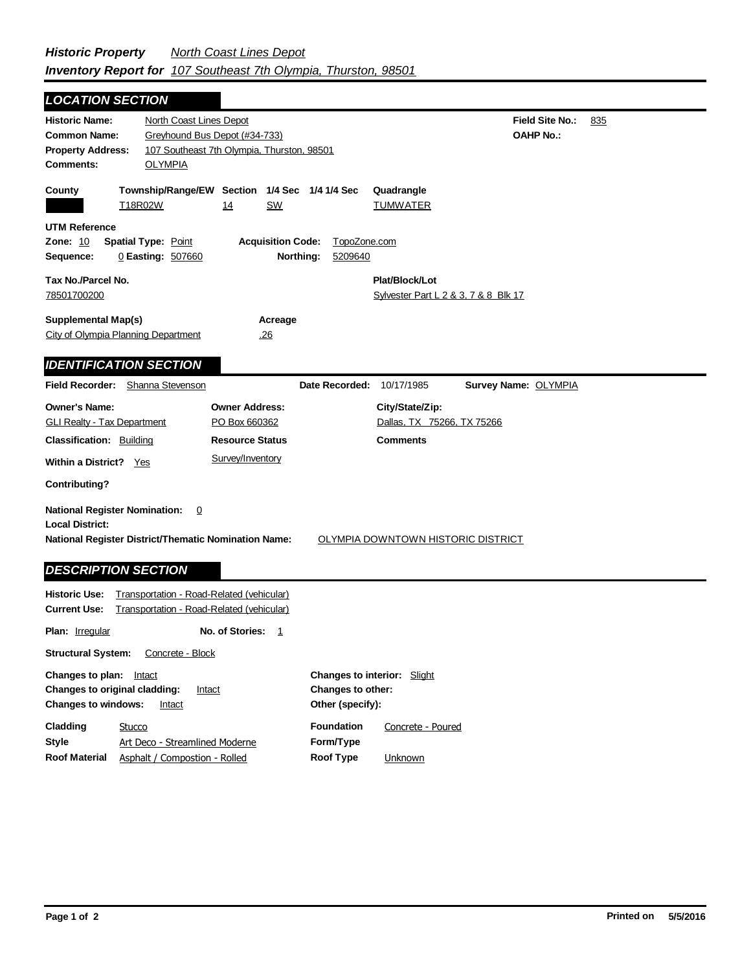| <b>LOCATION SECTION</b>                                                                                                                                                                                             |                                                                                                        |                                                                  |  |  |
|---------------------------------------------------------------------------------------------------------------------------------------------------------------------------------------------------------------------|--------------------------------------------------------------------------------------------------------|------------------------------------------------------------------|--|--|
| <b>Historic Name:</b><br><b>Common Name:</b><br><b>Property Address:</b><br><b>OLYMPIA</b><br><b>Comments:</b>                                                                                                      | North Coast Lines Depot<br>Greyhound Bus Depot (#34-733)<br>107 Southeast 7th Olympia, Thurston, 98501 | Field Site No.:<br>835<br><b>OAHP No.:</b>                       |  |  |
| County<br>T18R02W                                                                                                                                                                                                   | Township/Range/EW Section 1/4 Sec 1/4 1/4 Sec<br><b>SW</b><br>14                                       | Quadrangle<br><b>TUMWATER</b>                                    |  |  |
| <b>UTM Reference</b><br><b>Zone: 10</b><br>Spatial Type: Point<br>Sequence:<br>0 Easting: 507660                                                                                                                    | <b>Acquisition Code:</b><br>TopoZone.com<br>Northing:<br>5209640                                       |                                                                  |  |  |
| Tax No./Parcel No.                                                                                                                                                                                                  |                                                                                                        | Plat/Block/Lot                                                   |  |  |
| 78501700200                                                                                                                                                                                                         |                                                                                                        | Sylvester Part L 2 & 3, 7 & 8 Blk 17                             |  |  |
| <b>Supplemental Map(s)</b><br>City of Olympia Planning Department                                                                                                                                                   | Acreage<br>.26                                                                                         |                                                                  |  |  |
| <b>IDENTIFICATION SECTION</b>                                                                                                                                                                                       |                                                                                                        |                                                                  |  |  |
| Field Recorder: Shanna Stevenson                                                                                                                                                                                    | Date Recorded:                                                                                         | 10/17/1985<br>Survey Name: OLYMPIA                               |  |  |
| <b>Owner's Name:</b><br><b>GLI Realty - Tax Department</b><br><b>Classification: Building</b>                                                                                                                       | <b>Owner Address:</b><br>PO Box 660362<br><b>Resource Status</b>                                       | City/State/Zip:<br>Dallas, TX 75266, TX 75266<br><b>Comments</b> |  |  |
| <b>Within a District?</b> Yes                                                                                                                                                                                       | Survey/Inventory                                                                                       |                                                                  |  |  |
| <b>Contributing?</b>                                                                                                                                                                                                |                                                                                                        |                                                                  |  |  |
| <b>National Register Nomination:</b><br>$\overline{0}$<br><b>Local District:</b><br><b>National Register District/Thematic Nomination Name:</b><br>OLYMPIA DOWNTOWN HISTORIC DISTRICT<br><b>DESCRIPTION SECTION</b> |                                                                                                        |                                                                  |  |  |
| <b>Historic Use:</b><br><b>Current Use:</b>                                                                                                                                                                         | Transportation - Road-Related (vehicular)<br>Transportation - Road-Related (vehicular)                 |                                                                  |  |  |
|                                                                                                                                                                                                                     |                                                                                                        |                                                                  |  |  |
| <b>Plan:</b> <u>Irregular</u>                                                                                                                                                                                       | No. of Stories:<br>$\mathbf{1}$                                                                        |                                                                  |  |  |

| <b>Changes to plan:</b> Intact<br><b>Changes to original cladding:</b><br><b>Changes to windows:</b> | Intact<br>Intact               | <b>Changes to interior:</b> Slight<br><b>Changes to other:</b><br>Other (specify): |                   |
|------------------------------------------------------------------------------------------------------|--------------------------------|------------------------------------------------------------------------------------|-------------------|
| Cladding                                                                                             | Stucco                         | <b>Foundation</b>                                                                  | Concrete - Poured |
| Style                                                                                                | Art Deco - Streamlined Moderne | Form/Type                                                                          |                   |
| <b>Roof Material</b>                                                                                 | Asphalt / Compostion - Rolled  | Roof Type                                                                          | <b>Unknown</b>    |